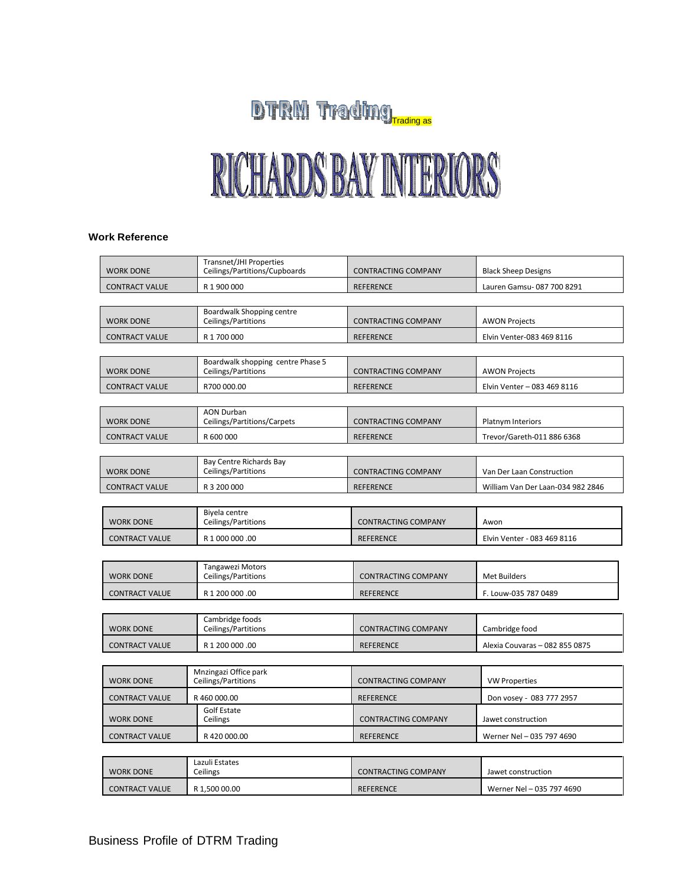## DTRM Trading

## RICHARDS BAY INTERIORS

## **Work Reference**

| <b>WORK DONE</b>      | Transnet/JHI Properties<br>Ceilings/Partitions/Cupboards | <b>CONTRACTING COMPANY</b> | <b>Black Sheep Designs</b>        |  |  |
|-----------------------|----------------------------------------------------------|----------------------------|-----------------------------------|--|--|
| <b>CONTRACT VALUE</b> | R 1 900 000                                              | <b>REFERENCE</b>           | Lauren Gamsu-087 700 8291         |  |  |
|                       |                                                          |                            |                                   |  |  |
| <b>WORK DONE</b>      | Boardwalk Shopping centre<br>Ceilings/Partitions         | <b>CONTRACTING COMPANY</b> | <b>AWON Projects</b>              |  |  |
| <b>CONTRACT VALUE</b> | R 1 700 000                                              | <b>REFERENCE</b>           | Elvin Venter-083 469 8116         |  |  |
|                       |                                                          |                            |                                   |  |  |
| <b>WORK DONE</b>      | Boardwalk shopping centre Phase 5<br>Ceilings/Partitions | <b>CONTRACTING COMPANY</b> | <b>AWON Projects</b>              |  |  |
| <b>CONTRACT VALUE</b> | R700 000.00                                              | <b>REFERENCE</b>           | Elvin Venter - 083 469 8116       |  |  |
|                       |                                                          |                            |                                   |  |  |
| <b>WORK DONE</b>      | <b>AON Durban</b><br>Ceilings/Partitions/Carpets         | <b>CONTRACTING COMPANY</b> | Platnym Interiors                 |  |  |
| <b>CONTRACT VALUE</b> | R 600 000                                                | <b>REFERENCE</b>           | Trevor/Gareth-011 886 6368        |  |  |
|                       |                                                          |                            |                                   |  |  |
| <b>WORK DONE</b>      | Bay Centre Richards Bay<br>Ceilings/Partitions           | <b>CONTRACTING COMPANY</b> | Van Der Laan Construction         |  |  |
| <b>CONTRACT VALUE</b> | R 3 200 000                                              | <b>REFERENCE</b>           | William Van Der Laan-034 982 2846 |  |  |
|                       |                                                          |                            |                                   |  |  |
| <b>WORK DONE</b>      | Biyela centre<br>Ceilings/Partitions                     | <b>CONTRACTING COMPANY</b> | Awon                              |  |  |
| <b>CONTRACT VALUE</b> | R 1 000 000 .00                                          | <b>REFERENCE</b>           | Elvin Venter - 083 469 8116       |  |  |
|                       |                                                          |                            |                                   |  |  |
| <b>WORK DONE</b>      | <b>Tangawezi Motors</b><br>Ceilings/Partitions           | <b>CONTRACTING COMPANY</b> | <b>Met Builders</b>               |  |  |
| <b>CONTRACT VALUE</b> | R 1 200 000 .00                                          | <b>REFERENCE</b>           | F. Louw-035 787 0489              |  |  |
|                       |                                                          |                            |                                   |  |  |
| <b>WORK DONE</b>      | Cambridge foods<br>Ceilings/Partitions                   | <b>CONTRACTING COMPANY</b> | Cambridge food                    |  |  |
| <b>CONTRACT VALUE</b> | R 1 200 000 .00                                          | <b>REFERENCE</b>           | Alexia Couvaras - 082 855 0875    |  |  |
|                       |                                                          |                            |                                   |  |  |
| <b>WORK DONE</b>      | Mnzingazi Office park<br>Ceilings/Partitions             | <b>CONTRACTING COMPANY</b> | <b>VW Properties</b>              |  |  |
| <b>CONTRACT VALUE</b> | R 460 000.00                                             | <b>REFERENCE</b>           | Don vosey - 083 777 2957          |  |  |
| <b>WORK DONE</b>      | Golf Estate<br>Ceilings                                  | <b>CONTRACTING COMPANY</b> | Jawet construction                |  |  |
| <b>CONTRACT VALUE</b> | R420000.00                                               | <b>REFERENCE</b>           | Werner Nel - 035 797 4690         |  |  |
|                       |                                                          |                            |                                   |  |  |
| <b>WORK DONE</b>      | Lazuli Estates<br>Ceilings                               | <b>CONTRACTING COMPANY</b> | Jawet construction                |  |  |
| <b>CONTRACT VALUE</b> | R 1,500 00.00                                            | <b>REFERENCE</b>           | Werner Nel - 035 797 4690         |  |  |